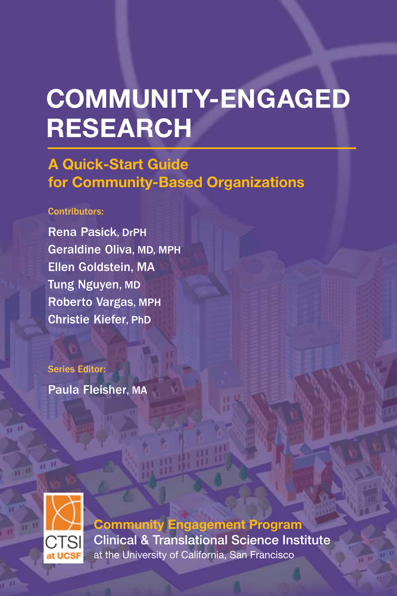# **COMMUNITY-ENGAGED RESEARCH**

## **A Quick-Start Guide for Community-Based Organizations**

#### Contributors:

Geraldine Oliva, MD, MPH Rena Pasick, DrPH Ellen Goldstein, MA Tung Nguyen, MD Roberto Vargas, MPH Christie Kiefer, PhD

Series Editor:

Paula Fleisher, MA



**Community Engagement Program** Clinical & Translational Science Institute at the University of California, San Francisco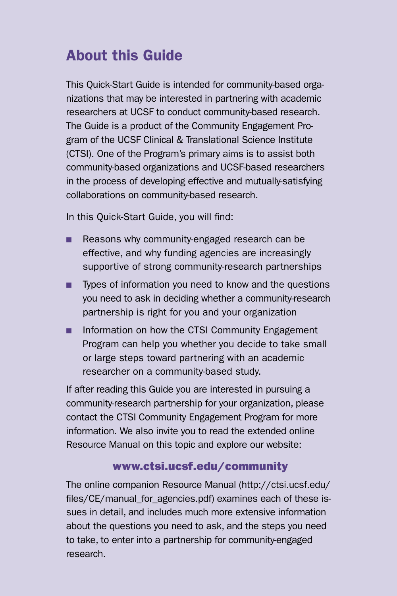# About this Guide

This Quick-Start Guide is intended for community-based organizations that may be interested in partnering with academic researchers at UCSF to conduct community-based research. The Guide is a product of the Community Engagement Program of the UCSF Clinical & Translational Science Institute (CTSI). One of the Program's primary aims is to assist both community-based organizations and UCSF-based researchers in the process of developing effective and mutually-satisfying collaborations on community-based research.

In this Quick-Start Guide, you will find:

- **n** Reasons why community-engaged research can be effective, and why funding agencies are increasingly supportive of strong community-research partnerships
- **n** Types of information you need to know and the questions you need to ask in deciding whether a community-research partnership is right for you and your organization
- n Information on how the CTSI Community Engagement Program can help you whether you decide to take small or large steps toward partnering with an academic researcher on a community-based study.

If after reading this Guide you are interested in pursuing a community-research partnership for your organization, please contact the CTSI Community Engagement Program for more information. We also invite you to read the extended online Resource Manual on this topic and explore our website:

### www.ctsi.ucsf.edu/community

The online companion Resource Manual (http://ctsi.ucsf.edu/ files/CE/manual\_for\_agencies.pdf) examines each of these issues in detail, and includes much more extensive information about the questions you need to ask, and the steps you need to take, to enter into a partnership for community-engaged research.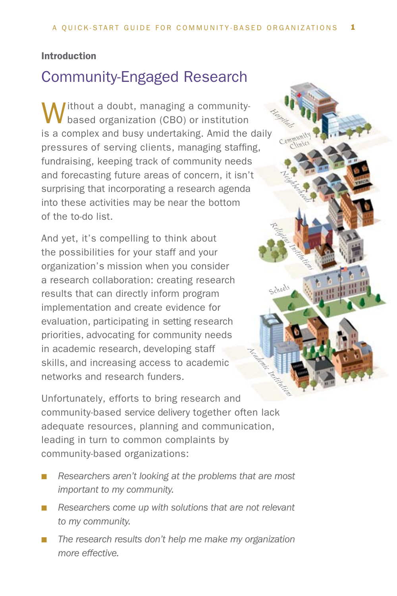**Neighborhoods** 

*Community Clinics*

*Schools*

#### Introduction

### Community-Engaged Research

Without a doubt, managing a community-based organization (CBO) or institution is a complex and busy undertaking. Amid the daily pressures of serving clients, managing staffing, fundraising, keeping track of community needs and forecasting future areas of concern, it isn't surprising that incorporating a research agenda into these activities may be near the bottom of the to-do list. *Religious Institutions Hospitals*

And yet, it's compelling to think about the possibilities for your staff and your organization's mission when you consider a research collaboration: creating research results that can directly inform program implementation and create evidence for evaluation, participating in setting research priorities, advocating for community needs in academic research, developing staff skills, and increasing access to academic networks and research funders.

Unfortunately, efforts to bring research and community-based service delivery together often lack adequate resources, planning and communication, leading in turn to common complaints by community-based organizations: Academic Institutions

- **n** *Researchers aren't looking at the problems that are most important to my community.*
- Researchers come up with solutions that are not relevant *to my community.*
- The research results don't help me make my organization *more effective.*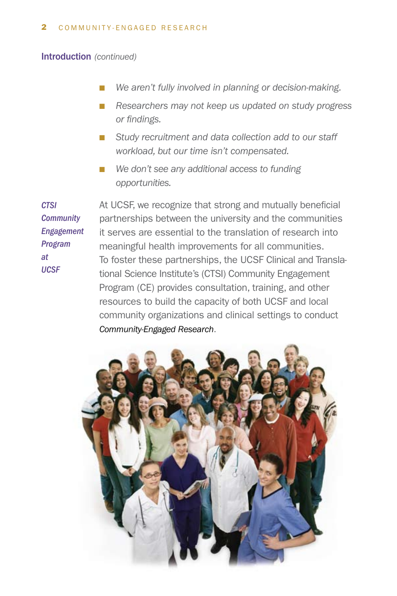Introduction *(continued)*

- We aren't fully involved in planning or decision-making.
- Researchers may not keep us updated on study progress *or findings.*
- Study recruitment and data collection add to our staff *workload, but our time isn't compensated.*
- We don't see any additional access to funding *opportunities.*

*CTSI Community Engagement Program at UCSF*

At UCSF, we recognize that strong and mutually beneficial partnerships between the university and the communities it serves are essential to the translation of research into meaningful health improvements for all communities. To foster these partnerships, the UCSF Clinical and Translational Science Institute's (CTSI) Community Engagement Program (CE) provides consultation, training, and other resources to build the capacity of both UCSF and local community organizations and clinical settings to conduct *Community-Engaged Research*.

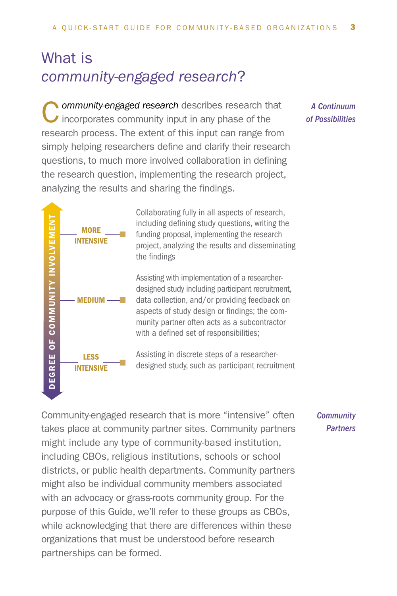# What is *community-engaged research*?

**C** ommunity-engaged research describes research that incorporates community input in any phase of the research process. The extent of this input can range from simply helping researchers define and clarify their research questions, to much more involved collaboration in defining the research question, implementing the research project, analyzing the results and sharing the findings.

> Collaborating fully in all aspects of research, including defining study questions, writing the funding proposal, implementing the research project, analyzing the results and disseminating the findings

Assisting with implementation of a researcherdesigned study including participant recruitment, data collection, and/or providing feedback on aspects of study design or findings; the community partner often acts as a subcontractor with a defined set of responsibilities;

Assisting in discrete steps of a researcherdesigned study, such as participant recruitment

Community-engaged research that is more "intensive" often takes place at community partner sites. Community partners might include any type of community-based institution, including CBOs, religious institutions, schools or school districts, or public health departments. Community partners might also be individual community members associated with an advocacy or grass-roots community group. For the purpose of this Guide, we'll refer to these groups as CBOs, while acknowledging that there are differences within these organizations that must be understood before research partnerships can be formed.

#### *A Continuum of Possibilities*

*Community Partners*

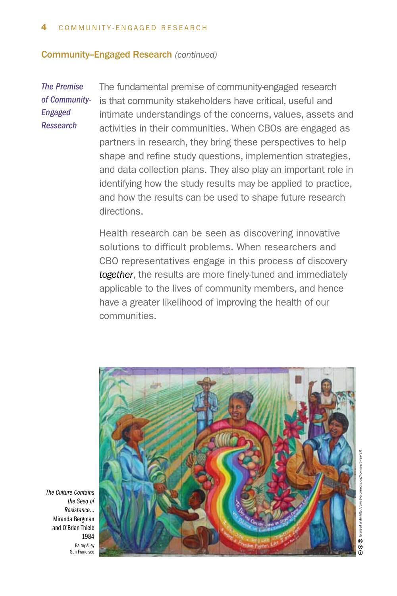#### **Community-Engaged Research (continued)**

*The Premise of Community-Engaged Ressearch*

The fundamental premise of community-engaged research is that community stakeholders have critical, useful and intimate understandings of the concerns, values, assets and activities in their communities. When CBOs are engaged as partners in research, they bring these perspectives to help shape and refine study questions, implemention strategies, and data collection plans. They also play an important role in identifying how the study results may be applied to practice, and how the results can be used to shape future research directions.

Health research can be seen as discovering innovative solutions to difficult problems. When researchers and CBO representatives engage in this process of discovery *together*, the results are more finely-tuned and immediately applicable to the lives of community members, and hence have a greater likelihood of improving the health of our communities.



*The Culture Contains the Seed of Resistance...* Miranda Bergman and O'Brian Thiele 1984 Balmy Alley San Francisco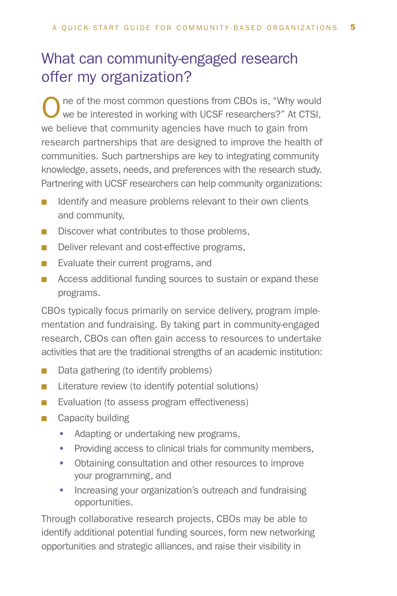# What can community-engaged research offer my organization?

One of the most common questions from CBOs is, "Why would we be interested in working with UCSF researchers?" At CTSI, we believe that community agencies have much to gain from research partnerships that are designed to improve the health of communities. Such partnerships are key to integrating community knowledge, assets, needs, and preferences with the research study. Partnering with UCSF researchers can help community organizations:

- $\blacksquare$  Identify and measure problems relevant to their own clients and community,
- $\blacksquare$  Discover what contributes to those problems,
- Deliver relevant and cost-effective programs,
- $\blacksquare$  Evaluate their current programs, and
- Access additional funding sources to sustain or expand these programs.

CBOs typically focus primarily on service delivery, program implementation and fundraising. By taking part in community-engaged research, CBOs can often gain access to resources to undertake activities that are the traditional strengths of an academic institution:

- $\blacksquare$  Data gathering (to identify problems)
- $\blacksquare$  Literature review (to identify potential solutions)
- Evaluation (to assess program effectiveness)
- $\Box$  Capacity building
	- Adapting or undertaking new programs,
	- Providing access to clinical trials for community members,
	- Obtaining consultation and other resources to improve your programming, and
	- Increasing your organization's outreach and fundraising opportunities.

Through collaborative research projects, CBOs may be able to identify additional potential funding sources, form new networking opportunities and strategic alliances, and raise their visibility in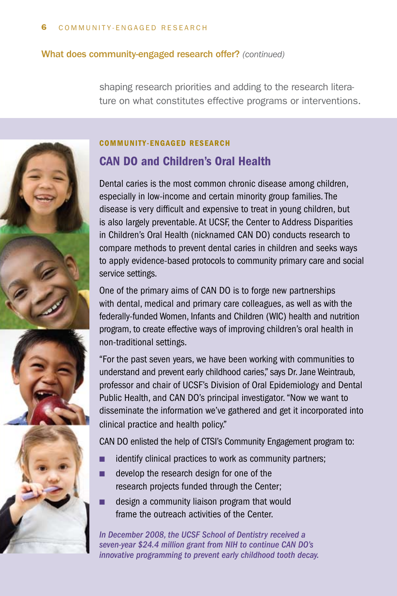#### What does community-engaged research offer? *(continued)*

shaping research priorities and adding to the research literature on what constitutes effective programs or interventions.



#### COMMUNITY-ENGAGED RESEARCH

### CAN DO and Children's Oral Health

Dental caries is the most common chronic disease among children, especially in low-income and certain minority group families. The disease is very difficult and expensive to treat in young children, but is also largely preventable. At UCSF, the Center to Address Disparities in Children's Oral Health (nicknamed CAN DO) conducts research to compare methods to prevent dental caries in children and seeks ways to apply evidence-based protocols to community primary care and social service settings.

One of the primary aims of CAN DO is to forge new partnerships with dental, medical and primary care colleagues, as well as with the federally-funded Women, Infants and Children (WIC) health and nutrition program, to create effective ways of improving children's oral health in non-traditional settings.

"For the past seven years, we have been working with communities to understand and prevent early childhood caries," says Dr. Jane Weintraub, professor and chair of UCSF's Division of Oral Epidemiology and Dental Public Health, and CAN DO's principal investigator. "Now we want to disseminate the information we've gathered and get it incorporated into clinical practice and health policy."

CAN DO enlisted the help of CTSI's Community Engagement program to:

- $\blacksquare$  identify clinical practices to work as community partners;
- $\blacksquare$  develop the research design for one of the research projects funded through the Center;
- n design a community liaison program that would frame the outreach activities of the Center.

*In December 2008, the UCSF School of Dentistry received a seven-year \$24.4 million grant from NIH to continue CAN DO's innovative programming to prevent early childhood tooth decay.*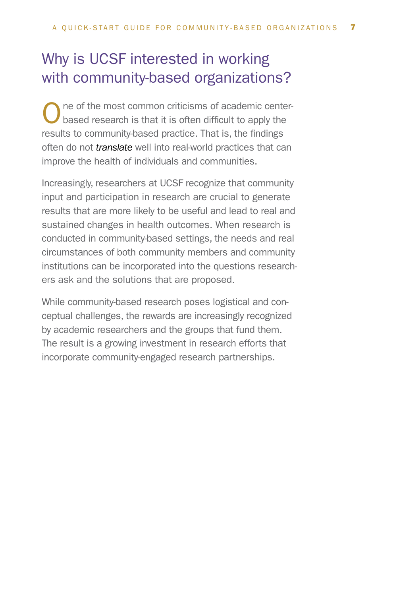# Why is UCSF interested in working with community-based organizations?

One of the most common criticisms of academic center-<br>based research is that it is often difficult to apply the results to community-based practice. That is, the findings often do not *translate* well into real-world practices that can improve the health of individuals and communities.

Increasingly, researchers at UCSF recognize that community input and participation in research are crucial to generate results that are more likely to be useful and lead to real and sustained changes in health outcomes. When research is conducted in community-based settings, the needs and real circumstances of both community members and community institutions can be incorporated into the questions researchers ask and the solutions that are proposed.

While community-based research poses logistical and conceptual challenges, the rewards are increasingly recognized by academic researchers and the groups that fund them. The result is a growing investment in research efforts that incorporate community-engaged research partnerships.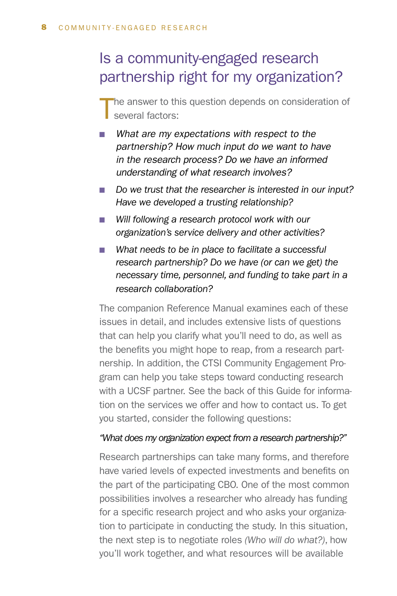# Is a community-engaged research partnership right for my organization?

he answer to this question depends on consideration of several factors:

- What are my expectations with respect to the *partnership? How much input do we want to have in the research process? Do we have an informed understanding of what research involves?*
- Do we trust that the researcher is interested in our input? *Have we developed a trusting relationship?*
- Will following a research protocol work with our *organization's service delivery and other activities?*
- What needs to be in place to facilitate a successful *research partnership? Do we have (or can we get) the necessary time, personnel, and funding to take part in a research collaboration?*

The companion Reference Manual examines each of these issues in detail, and includes extensive lists of questions that can help you clarify what you'll need to do, as well as the benefits you might hope to reap, from a research partnership. In addition, the CTSI Community Engagement Program can help you take steps toward conducting research with a UCSF partner. See the back of this Guide for information on the services we offer and how to contact us. To get you started, consider the following questions:

#### *"What does my organization expect from a research partnership?"*

Research partnerships can take many forms, and therefore have varied levels of expected investments and benefits on the part of the participating CBO. One of the most common possibilities involves a researcher who already has funding for a specific research project and who asks your organization to participate in conducting the study. In this situation, the next step is to negotiate roles *(Who will do what?)*, how you'll work together, and what resources will be available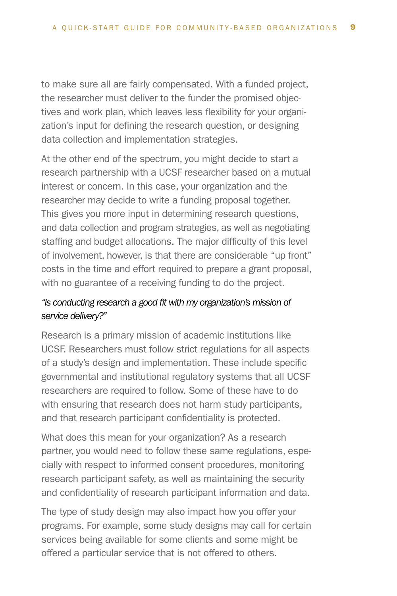to make sure all are fairly compensated. With a funded project, the researcher must deliver to the funder the promised objectives and work plan, which leaves less flexibility for your organization's input for defining the research question, or designing data collection and implementation strategies.

At the other end of the spectrum, you might decide to start a research partnership with a UCSF researcher based on a mutual interest or concern. In this case, your organization and the researcher may decide to write a funding proposal together. This gives you more input in determining research questions, and data collection and program strategies, as well as negotiating staffing and budget allocations. The major difficulty of this level of involvement, however, is that there are considerable "up front" costs in the time and effort required to prepare a grant proposal, with no guarantee of a receiving funding to do the project.

#### *"Is conducting research a good fit with my organization's mission of service delivery?"*

Research is a primary mission of academic institutions like UCSF. Researchers must follow strict regulations for all aspects of a study's design and implementation. These include specific governmental and institutional regulatory systems that all UCSF researchers are required to follow. Some of these have to do with ensuring that research does not harm study participants, and that research participant confidentiality is protected.

What does this mean for your organization? As a research partner, you would need to follow these same regulations, especially with respect to informed consent procedures, monitoring research participant safety, as well as maintaining the security and confidentiality of research participant information and data.

The type of study design may also impact how you offer your programs. For example, some study designs may call for certain services being available for some clients and some might be offered a particular service that is not offered to others.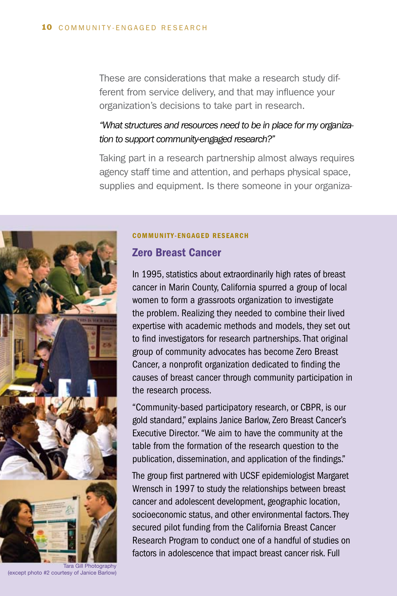These are considerations that make a research study different from service delivery, and that may influence your organization's decisions to take part in research.

#### *"What structures and resources need to be in place for my organization to support community-engaged research?"*

Taking part in a research partnership almost always requires agency staff time and attention, and perhaps physical space, supplies and equipment. Is there someone in your organiza-



COMMUNITY-ENGAGED RESEARCH

#### Zero Breast Cancer

In 1995, statistics about extraordinarily high rates of breast cancer in Marin County, California spurred a group of local women to form a grassroots organization to investigate the problem. Realizing they needed to combine their lived expertise with academic methods and models, they set out to find investigators for research partnerships. That original group of community advocates has become Zero Breast Cancer, a nonprofit organization dedicated to finding the causes of breast cancer through community participation in the research process.

"Community-based participatory research, or CBPR, is our gold standard," explains Janice Barlow, Zero Breast Cancer's Executive Director. "We aim to have the community at the table from the formation of the research question to the publication, dissemination, and application of the findings."

The group first partnered with UCSF epidemiologist Margaret Wrensch in 1997 to study the relationships between breast cancer and adolescent development, geographic location, socioeconomic status, and other environmental factors. They secured pilot funding from the California Breast Cancer Research Program to conduct one of a handful of studies on factors in adolescence that impact breast cancer risk. Full

(except photo #2 courtesy of Janice Barlow)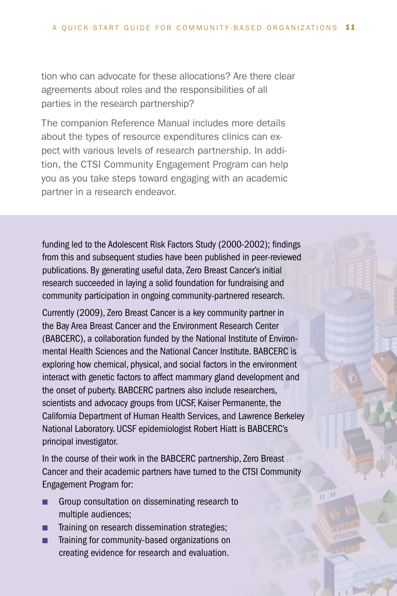tion who can advocate for these allocations? Are there clear agreements about roles and the responsibilities of all parties in the research partnership?

The companion Reference Manual includes more details about the types of resource expenditures clinics can expect with various levels of research partnership. In addition, the CTSI Community Engagement Program can help you as you take steps toward engaging with an academic partner in a research endeavor.

funding led to the Adolescent Risk Factors Study (2000-2002); findings from this and subsequent studies have been published in peer-reviewed publications. By generating useful data, Zero Breast Cancer's initial research succeeded in laying a solid foundation for fundraising and community participation in ongoing community-partnered research.

Currently (2009), Zero Breast Cancer is a key community partner in the Bay Area Breast Cancer and the Environment Research Center (BABCERC), a collaboration funded by the National Institute of Environmental Health Sciences and the National Cancer Institute. BABCERC is exploring how chemical, physical, and social factors in the environment interact with genetic factors to affect mammary gland development and the onset of puberty. BABCERC partners also include researchers, scientists and advocacy groups from UCSF, Kaiser Permanente, the California Department of Human Health Services, and Lawrence Berkeley National Laboratory. UCSF epidemiologist Robert Hiatt is BABCERC's principal investigator.

In the course of their work in the BABCERC partnership, Zero Breast Cancer and their academic partners have turned to the CTSI Community Engagement Program for:

- **n** Group consultation on disseminating research to multiple audiences;
- **n** Training on research dissemination strategies;
- **n** Training for community-based organizations on creating evidence for research and evaluation.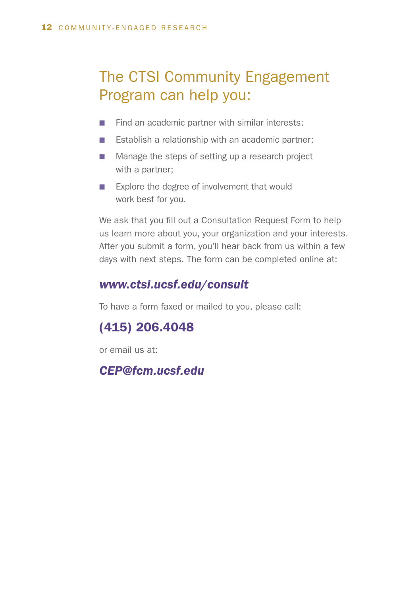# The CTSI Community Engagement Program can help you:

- $\blacksquare$  Find an academic partner with similar interests:
- $\blacksquare$  Establish a relationship with an academic partner;
- Manage the steps of setting up a research project with a partner;
- Explore the degree of involvement that would work best for you.

We ask that you fill out a Consultation Request Form to help us learn more about you, your organization and your interests. After you submit a form, you'll hear back from us within a few days with next steps. The form can be completed online at:

### *www.ctsi.ucsf.edu/consult*

To have a form faxed or mailed to you, please call:

### (415) 206.4048

or email us at:

*CEP@fcm.ucsf.edu*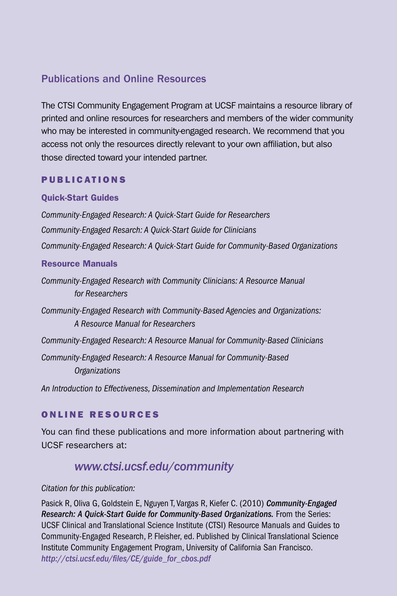### Publications and Online Resources

The CTSI Community Engagement Program at UCSF maintains a resource library of printed and online resources for researchers and members of the wider community who may be interested in community-engaged research. We recommend that you access not only the resources directly relevant to your own affiliation, but also those directed toward your intended partner.

#### PUBLICATIONS

#### Quick-Start Guides

*Community-Engaged Research: A Quick-Start Guide for Researchers Community-Engaged Resarch: A Quick-Start Guide for Clinicians Community-Engaged Research: A Quick-Start Guide for Community-Based Organizations*

#### Resource Manuals

*Community-Engaged Research with Community Clinicians: A Resource Manual for Researchers*

*Community-Engaged Research with Community-Based Agencies and Organizations: A Resource Manual for Researchers* 

*Community-Engaged Research: A Resource Manual for Community-Based Clinicians*

*Community-Engaged Research: A Resource Manual for Community-Based Organizations*

*An Introduction to Effectiveness, Dissemination and Implementation Research*

#### ONLINE RESOURCES

You can find these publications and more information about partnering with UCSF researchers at:

### *www.ctsi.ucsf.edu/community*

#### *Citation for this publication:*

Pasick R, Oliva G, Goldstein E, Nguyen T, Vargas R, Kiefer C. (2010) *Community-Engaged Research: A Quick-Start Guide for Community-Based Organizations.* From the Series: UCSF Clinical and Translational Science Institute (CTSI) Resource Manuals and Guides to Community-Engaged Research, P. Fleisher, ed. Published by Clinical Translational Science Institute Community Engagement Program, University of California San Francisco. *http://ctsi.ucsf.edu/files/CE/guide\_for\_cbos.pdf*